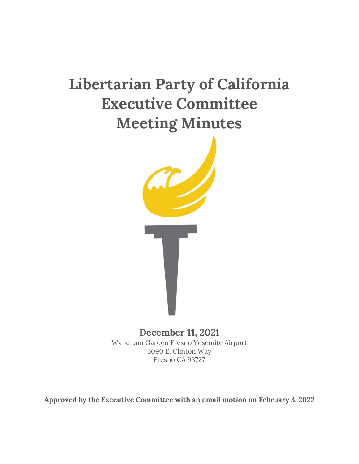# **Libertarian Party of California Executive Committee Meeting Minutes**



**December 11, 2021**  Wyndham Garden Fresno Yosemite Airport 5090 E. Clinton Way Fresno CA 93727

**Approved by the Executive Committee with an email motion on February 3, 2022**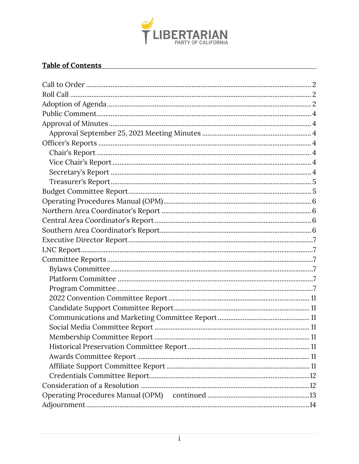

#### **Table of Contents**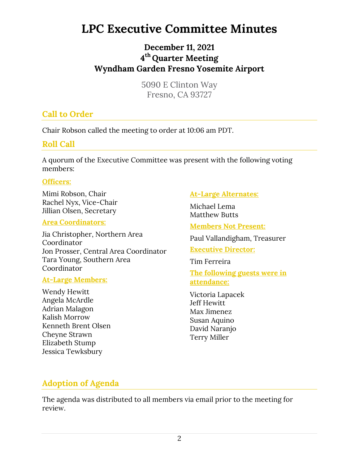# **LPC Executive Committee Minutes**

# **December 11, 2021 4 th Quarter Meeting Wyndham Garden Fresno Yosemite Airport**

5090 E Clinton Way Fresno, CA 93727

# **Call to Order**

Chair Robson called the meeting to order at 10:06 am PDT.

### **Roll Call**

A quorum of the Executive Committee was present with the following voting members:

#### **Officers:**

Mimi Robson, Chair Rachel Nyx, Vice-Chair Jillian Olsen, Secretary

#### **Area Coordinators:**

Jia Christopher, Northern Area Coordinator Jon Prosser, Central Area Coordinator Tara Young, Southern Area Coordinator

#### **At-Large Members:**

Wendy Hewitt Angela McArdle Adrian Malagon Kalish Morrow Kenneth Brent Olsen Cheyne Strawn Elizabeth Stump Jessica Tewksbury

#### **At-Large Alternates:**

Michael Lema Matthew Butts

**Members Not Present:**

Paul Vallandigham, Treasurer

#### **Executive Director:**

Tim Ferreira

**The following guests were in attendance:** 

Victoria Lapacek Jeff Hewitt Max Jimenez Susan Aquino David Naranjo Terry Miller

# **Adoption of Agenda**

The agenda was distributed to all members via email prior to the meeting for review.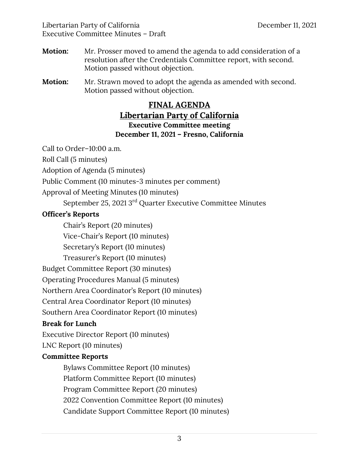- **Motion:** Mr. Prosser moved to amend the agenda to add consideration of a resolution after the Credentials Committee report, with second. Motion passed without objection.
- **Motion:** Mr. Strawn moved to adopt the agenda as amended with second. Motion passed without objection.

#### **FINAL AGENDA**

# **Libertarian Party of California**

#### **Executive Committee meeting December 11, 2021 – Fresno, California**

Call to Order–10:00 a.m.

Roll Call (5 minutes)

Adoption of Agenda (5 minutes)

Public Comment (10 minutes-3 minutes per comment)

Approval of Meeting Minutes (10 minutes)

September 25, 2021 3rd Quarter Executive Committee Minutes

#### **Officer's Reports**

Chair's Report (20 minutes)

Vice-Chair's Report (10 minutes)

Secretary's Report (10 minutes)

Treasurer's Report (10 minutes)

Budget Committee Report (30 minutes)

Operating Procedures Manual (5 minutes)

Northern Area Coordinator's Report (10 minutes)

Central Area Coordinator Report (10 minutes)

Southern Area Coordinator Report (10 minutes)

#### **Break for Lunch**

Executive Director Report (10 minutes)

LNC Report (10 minutes)

# **Committee Reports**

Bylaws Committee Report (10 minutes) Platform Committee Report (10 minutes) Program Committee Report (20 minutes) 2022 Convention Committee Report (10 minutes) Candidate Support Committee Report (10 minutes)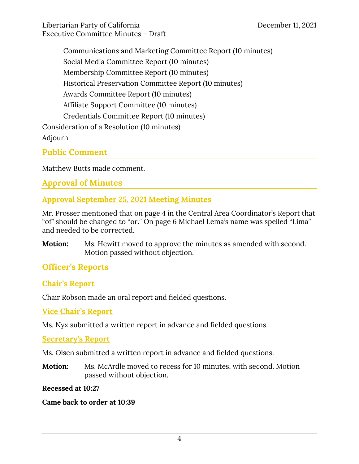Communications and Marketing Committee Report (10 minutes) Social Media Committee Report (10 minutes) Membership Committee Report (10 minutes) Historical Preservation Committee Report (10 minutes) Awards Committee Report (10 minutes) Affiliate Support Committee (10 minutes) Credentials Committee Report (10 minutes) Consideration of a Resolution (10 minutes) Adjourn

**Public Comment** 

Matthew Butts made comment.

**Approval of Minutes** 

**Approval September 25, 2021 Meeting Minutes** 

Mr. Prosser mentioned that on page 4 in the Central Area Coordinator's Report that "of" should be changed to "or." On page 6 Michael Lema's name was spelled "Lima" and needed to be corrected.

**Motion:** Ms. Hewitt moved to approve the minutes as amended with second. Motion passed without objection.

# **Officer's Reports**

# **Chair's Report**

Chair Robson made an oral report and fielded questions.

**Vice Chair's Report** 

Ms. Nyx submitted a written report in advance and fielded questions.

**Secretary's Report** 

Ms. Olsen submitted a written report in advance and fielded questions.

**Motion:** Ms. McArdle moved to recess for 10 minutes, with second. Motion passed without objection.

**Recessed at 10:27** 

**Came back to order at 10:39**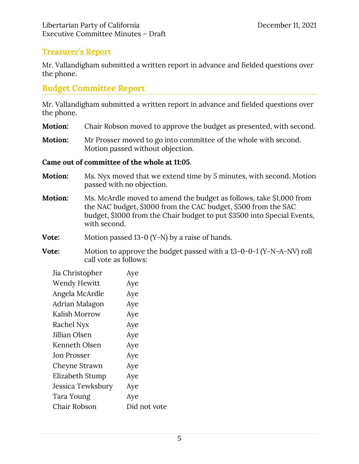#### **Treasurer's Report**

Mr. Vallandigham submitted a written report in advance and fielded questions over the phone.

#### **Budget Committee Report**

Mr. Vallandigham submitted a written report in advance and fielded questions over the phone.

- **Motion:** Chair Robson moved to approve the budget as presented, with second.
- **Motion:** Mr Prosser moved to go into committee of the whole with second. Motion passed without objection.

#### **Came out of committee of the whole at 11:05**.

- **Motion:** Ms. Nyx moved that we extend time by 5 minutes, with second. Motion passed with no objection.
- **Motion:** Ms. McArdle moved to amend the budget as follows, take \$1,000 from the NAC budget, \$1000 from the CAC budget, \$500 from the SAC budget, \$1000 from the Chair budget to put \$3500 into Special Events, with second.

**Vote:** Motion passed 13-0 (Y-N) by a raise of hands.

**Vote:** Motion to approve the budget passed with a 13-0-0-1 (Y-N-A-NV) roll call vote as follows:

| Jia Christopher    | Aye          |
|--------------------|--------------|
| Wendy Hewitt       | Aye          |
| Angela McArdle     | Aye          |
| Adrian Malagon     | Aye          |
| Kalish Morrow      | Aye          |
| Rachel Nyx         | Aye          |
| Jillian Olsen      | Aye          |
| Kenneth Olsen      | Aye          |
| <b>Jon Prosser</b> | Aye          |
| Cheyne Strawn      | Aye          |
| Elizabeth Stump    | Aye          |
| Jessica Tewksbury  | Aye          |
| Tara Young         | Aye          |
| Chair Robson       | Did not vote |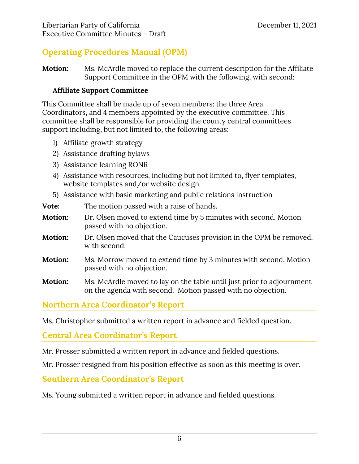# **Operating Procedures Manual (OPM)**

**Motion:** Ms. McArdle moved to replace the current description for the Affiliate Support Committee in the OPM with the following, with second:

#### **Affiliate Support Committee**

This Committee shall be made up of seven members: the three Area Coordinators, and 4 members appointed by the executive committee. This committee shall be responsible for providing the county central committees support including, but not limited to, the following areas:

- 1) Affiliate growth strategy
- 2) Assistance drafting bylaws
- 3) Assistance learning RONR
- 4) Assistance with resources, including but not limited to, flyer templates, website templates and/or website design
- 5) Assistance with basic marketing and public relations instruction

| Vote:   | The motion passed with a raise of hands.                                                                                             |
|---------|--------------------------------------------------------------------------------------------------------------------------------------|
| Motion: | Dr. Olsen moved to extend time by 5 minutes with second. Motion<br>passed with no objection.                                         |
| Motion: | Dr. Olsen moved that the Caucuses provision in the OPM be removed,<br>with second.                                                   |
| Motion: | Ms. Morrow moved to extend time by 3 minutes with second. Motion<br>passed with no objection.                                        |
| Motion: | Ms. McArdle moved to lay on the table until just prior to adjournment<br>on the agenda with second. Motion passed with no objection. |

**Northern Area Coordinator's Report** 

Ms. Christopher submitted a written report in advance and fielded question.

**Central Area Coordinator's Report** 

Mr. Prosser submitted a written report in advance and fielded questions.

Mr. Prosser resigned from his position effective as soon as this meeting is over.

**Southern Area Coordinator's Report** 

Ms. Young submitted a written report in advance and fielded questions.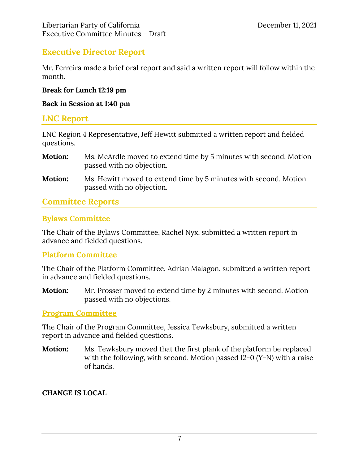#### **Executive Director Report**

Mr. Ferreira made a brief oral report and said a written report will follow within the month.

#### **Break for Lunch 12:19 pm**

#### **Back in Session at 1:40 pm**

#### **LNC Report**

LNC Region 4 Representative, Jeff Hewitt submitted a written report and fielded questions.

- **Motion:** Ms. McArdle moved to extend time by 5 minutes with second. Motion passed with no objection.
- **Motion:** Ms. Hewitt moved to extend time by 5 minutes with second. Motion passed with no objection.

#### **Committee Reports**

#### **Bylaws Committee**

The Chair of the Bylaws Committee, Rachel Nyx, submitted a written report in advance and fielded questions.

#### **Platform Committee**

The Chair of the Platform Committee, Adrian Malagon, submitted a written report in advance and fielded questions.

**Motion:** Mr. Prosser moved to extend time by 2 minutes with second. Motion passed with no objections.

#### **Program Committee**

The Chair of the Program Committee, Jessica Tewksbury, submitted a written report in advance and fielded questions.

**Motion:** Ms. Tewksbury moved that the first plank of the platform be replaced with the following, with second. Motion passed 12-0 (Y-N) with a raise of hands.

#### **CHANGE IS LOCAL**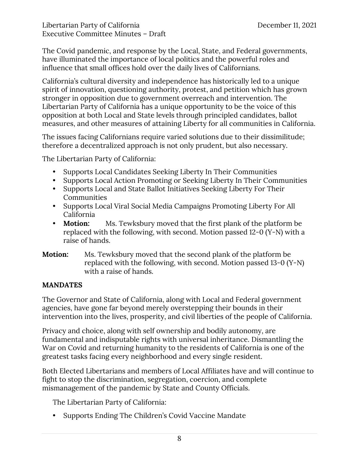The Covid pandemic, and response by the Local, State, and Federal governments, have illuminated the importance of local politics and the powerful roles and influence that small offices hold over the daily lives of Californians.

California's cultural diversity and independence has historically led to a unique spirit of innovation, questioning authority, protest, and petition which has grown stronger in opposition due to government overreach and intervention. The Libertarian Party of California has a unique opportunity to be the voice of this opposition at both Local and State levels through principled candidates, ballot measures, and other measures of attaining Liberty for all communities in California.

The issues facing Californians require varied solutions due to their dissimilitude; therefore a decentralized approach is not only prudent, but also necessary.

The Libertarian Party of California:

- Supports Local Candidates Seeking Liberty In Their Communities
- Supports Local Action Promoting or Seeking Liberty In Their Communities
- Supports Local and State Ballot Initiatives Seeking Liberty For Their **Communities**
- Supports Local Viral Social Media Campaigns Promoting Liberty For All California
- **Motion:** Ms. Tewksbury moved that the first plank of the platform be replaced with the following, with second. Motion passed 12-0 (Y-N) with a raise of hands.

#### **Motion:** Ms. Tewksbury moved that the second plank of the platform be replaced with the following, with second. Motion passed 13-0 (Y-N) with a raise of hands.

#### **MANDATES**

The Governor and State of California, along with Local and Federal government agencies, have gone far beyond merely overstepping their bounds in their intervention into the lives, prosperity, and civil liberties of the people of California.

Privacy and choice, along with self ownership and bodily autonomy, are fundamental and indisputable rights with universal inheritance. Dismantling the War on Covid and returning humanity to the residents of California is one of the greatest tasks facing every neighborhood and every single resident.

Both Elected Libertarians and members of Local Affiliates have and will continue to fight to stop the discrimination, segregation, coercion, and complete mismanagement of the pandemic by State and County Officials.

The Libertarian Party of California:

• Supports Ending The Children's Covid Vaccine Mandate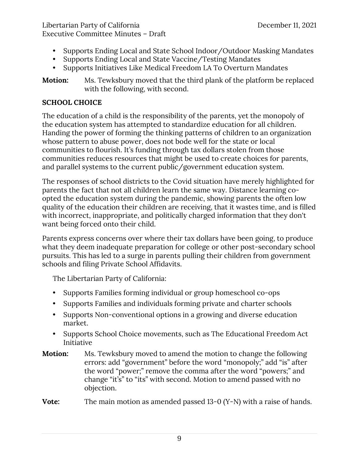- Supports Ending Local and State School Indoor/Outdoor Masking Mandates
- Supports Ending Local and State Vaccine/Testing Mandates
- Supports Initiatives Like Medical Freedom LA To Overturn Mandates

**Motion:** Ms. Tewksbury moved that the third plank of the platform be replaced with the following, with second.

#### **SCHOOL CHOICE**

The education of a child is the responsibility of the parents, yet the monopoly of the education system has attempted to standardize education for all children. Handing the power of forming the thinking patterns of children to an organization whose pattern to abuse power, does not bode well for the state or local communities to flourish. It's funding through tax dollars stolen from those communities reduces resources that might be used to create choices for parents, and parallel systems to the current public/government education system.

The responses of school districts to the Covid situation have merely highlighted for parents the fact that not all children learn the same way. Distance learning coopted the education system during the pandemic, showing parents the often low quality of the education their children are receiving, that it wastes time, and is filled with incorrect, inappropriate, and politically charged information that they don't want being forced onto their child.

Parents express concerns over where their tax dollars have been going, to produce what they deem inadequate preparation for college or other post-secondary school pursuits. This has led to a surge in parents pulling their children from government schools and filing Private School Affidavits.

The Libertarian Party of California:

- Supports Families forming individual or group homeschool co-ops
- Supports Families and individuals forming private and charter schools
- Supports Non-conventional options in a growing and diverse education market.
- Supports School Choice movements, such as The Educational Freedom Act Initiative
- **Motion:** Ms. Tewksbury moved to amend the motion to change the following errors: add "government" before the word "monopoly;" add "is" after the word "power;" remove the comma after the word "powers;" and change "it's" to "its" with second. Motion to amend passed with no objection.

**Vote:** The main motion as amended passed 13-0 (Y-N) with a raise of hands.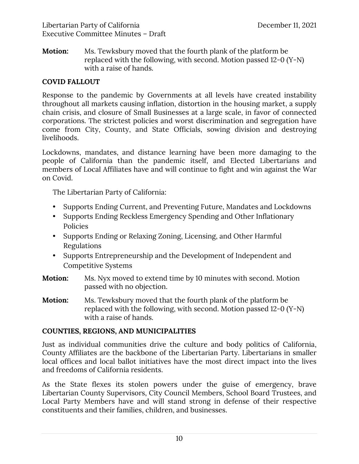**Motion:** Ms. Tewksbury moved that the fourth plank of the platform be replaced with the following, with second. Motion passed 12-0 (Y-N) with a raise of hands.

#### **COVID FALLOUT**

Response to the pandemic by Governments at all levels have created instability throughout all markets causing inflation, distortion in the housing market, a supply chain crisis, and closure of Small Businesses at a large scale, in favor of connected corporations. The strictest policies and worst discrimination and segregation have come from City, County, and State Officials, sowing division and destroying livelihoods.

Lockdowns, mandates, and distance learning have been more damaging to the people of California than the pandemic itself, and Elected Libertarians and members of Local Affiliates have and will continue to fight and win against the War on Covid.

The Libertarian Party of California:

- Supports Ending Current, and Preventing Future, Mandates and Lockdowns
- Supports Ending Reckless Emergency Spending and Other Inflationary Policies
- Supports Ending or Relaxing Zoning, Licensing, and Other Harmful Regulations
- Supports Entrepreneurship and the Development of Independent and Competitive Systems
- **Motion:** Ms. Nyx moved to extend time by 10 minutes with second. Motion passed with no objection.
- **Motion:** Ms. Tewksbury moved that the fourth plank of the platform be replaced with the following, with second. Motion passed 12-0 (Y-N) with a raise of hands.

#### **COUNTIES, REGIONS, AND MUNICIPALITIES**

Just as individual communities drive the culture and body politics of California, County Affiliates are the backbone of the Libertarian Party. Libertarians in smaller local offices and local ballot initiatives have the most direct impact into the lives and freedoms of California residents.

As the State flexes its stolen powers under the guise of emergency, brave Libertarian County Supervisors, City Council Members, School Board Trustees, and Local Party Members have and will stand strong in defense of their respective constituents and their families, children, and businesses.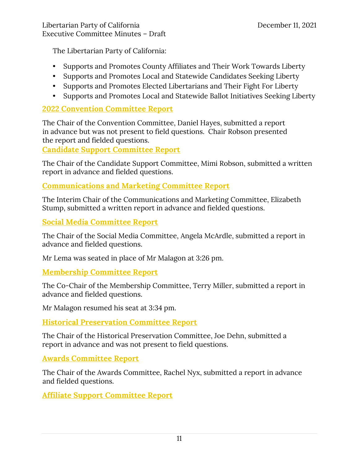The Libertarian Party of California:

- Supports and Promotes County Affiliates and Their Work Towards Liberty
- Supports and Promotes Local and Statewide Candidates Seeking Liberty
- Supports and Promotes Elected Libertarians and Their Fight For Liberty
- Supports and Promotes Local and Statewide Ballot Initiatives Seeking Liberty

#### **2022 Convention Committee Report**

The Chair of the Convention Committee, Daniel Hayes, submitted a report in advance but was not present to field questions. Chair Robson presented the report and fielded questions.

**Candidate Support Committee Report** 

The Chair of the Candidate Support Committee, Mimi Robson, submitted a written report in advance and fielded questions.

#### **Communications and Marketing Committee Report**

The Interim Chair of the Communications and Marketing Committee, Elizabeth Stump, submitted a written report in advance and fielded questions.

**Social Media Committee Report** 

The Chair of the Social Media Committee, Angela McArdle, submitted a report in advance and fielded questions.

Mr Lema was seated in place of Mr Malagon at 3:26 pm.

#### **Membership Committee Report**

The Co-Chair of the Membership Committee, Terry Miller, submitted a report in advance and fielded questions.

Mr Malagon resumed his seat at 3:34 pm.

**Historical Preservation Committee Report** 

The Chair of the Historical Preservation Committee, Joe Dehn, submitted a report in advance and was not present to field questions.

#### **Awards Committee Report**

The Chair of the Awards Committee, Rachel Nyx, submitted a report in advance and fielded questions.

**Affiliate Support Committee Report**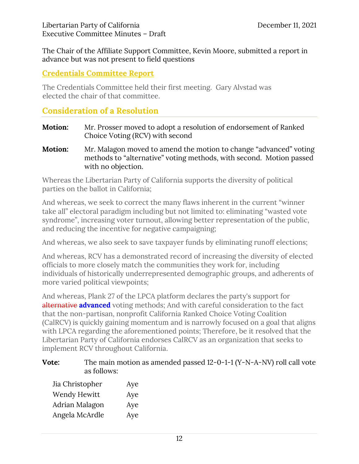The Chair of the Affiliate Support Committee, Kevin Moore, submitted a report in advance but was not present to field questions

#### **Credentials Committee Report**

The Credentials Committee held their first meeting. Gary Alvstad was elected the chair of that committee.

#### **Consideration of a Resolution**

| <b>Motion:</b> | Mr. Prosser moved to adopt a resolution of endorsement of Ranked |
|----------------|------------------------------------------------------------------|
|                | Choice Voting (RCV) with second                                  |

**Motion:** Mr. Malagon moved to amend the motion to change "advanced" voting methods to "alternative" voting methods, with second. Motion passed with no objection.

Whereas the Libertarian Party of California supports the diversity of political parties on the ballot in California;

And whereas, we seek to correct the many flaws inherent in the current "winner take all" electoral paradigm including but not limited to: eliminating "wasted vote syndrome", increasing voter turnout, allowing better representation of the public, and reducing the incentive for negative campaigning;

And whereas, we also seek to save taxpayer funds by eliminating runoff elections;

And whereas, RCV has a demonstrated record of increasing the diversity of elected officials to more closely match the communities they work for, including individuals of historically underrepresented demographic groups, and adherents of more varied political viewpoints;

And whereas, Plank 27 of the LPCA platform declares the party's support for alternative **advanced** voting methods; And with careful consideration to the fact that the non-partisan, nonprofit California Ranked Choice Voting Coalition (CalRCV) is quickly gaining momentum and is narrowly focused on a goal that aligns with LPCA regarding the aforementioned points; Therefore, be it resolved that the Libertarian Party of California endorses CalRCV as an organization that seeks to implement RCV throughout California.

#### **Vote:** The main motion as amended passed 12-0-1-1 (Y-N-A-NV) roll call vote as follows:

| Jia Christopher | Aye |
|-----------------|-----|
| Wendy Hewitt    | Aye |
| Adrian Malagon  | Aye |
| Angela McArdle  | Aye |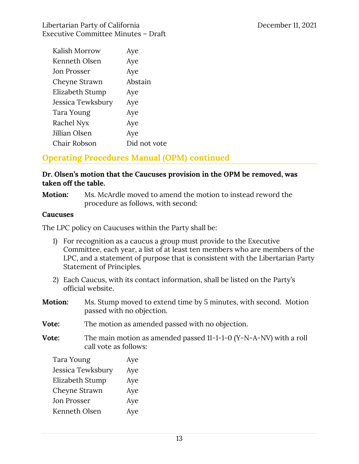| Kalish Morrow      | Aye          |
|--------------------|--------------|
| Kenneth Olsen      | Aye          |
| <b>Jon Prosser</b> | Aye          |
| Cheyne Strawn      | Abstain      |
| Elizabeth Stump    | Aye          |
| Jessica Tewksbury  | Aye          |
| Tara Young         | Aye          |
| Rachel Nyx         | Aye          |
| Jillian Olsen      | Aye          |
| Chair Robson       | Did not vote |

# **Operating Procedures Manual (OPM) continued**

#### **Dr. Olsen's motion that the Caucuses provision in the OPM be removed, was taken off the table.**

**Motion:** Ms. McArdle moved to amend the motion to instead reword the procedure as follows, with second:

#### **Caucuses**

The LPC policy on Caucuses within the Party shall be:

- 1) For recognition as a caucus a group must provide to the Executive Committee, each year, a list of at least ten members who are members of the LPC, and a statement of purpose that is consistent with the Libertarian Party Statement of Principles.
- 2) Each Caucus, with its contact information, shall be listed on the Party's official website.
- **Motion:** Ms. Stump moved to extend time by 5 minutes, with second. Motion passed with no objection.
- **Vote:** The motion as amended passed with no objection.
- **Vote:** The main motion as amended passed 11-1-1-0 (Y-N-A-NV) with a roll call vote as follows:

| Tara Young        | Aye |
|-------------------|-----|
| Jessica Tewksbury | Aye |
| Elizabeth Stump   | Aye |
| Cheyne Strawn     | Aye |
| Jon Prosser       | Aye |
| Kenneth Olsen     | Aye |